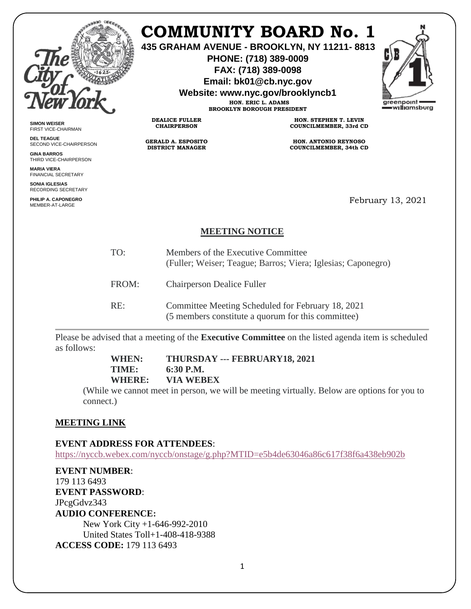

# **COMMUNITY BOARD No. 1**

**435 GRAHAM AVENUE - BROOKLYN, NY 11211- 8813**

**PHONE: (718) 389-0009 FAX: (718) 389-0098**

**Email: bk01@cb.nyc.gov**

**Website: www.nyc.gov/brooklyncb1**

**HON. ERIC L. ADAMS BROOKLYN BOROUGH PRESIDENT**

**DEALICE FULLER CHAIRPERSON**

**GERALD A. ESPOSITO DISTRICT MANAGER**



**SIMON WEISER** FIRST VICE-CHAIRMAN

**DEL TEAGUE** SECOND VICE-CHAIRPERSON

**GINA BARROS** THIRD VICE-CHAIRPERSON

**MARIA VIERA** FINANCIAL SECRETARY

**SONIA IGLESIAS** RECORDING SECRETARY

**PHILIP A. CAPONEGRO** MEMBER-AT-LARGE

**HON. STEPHEN T. LEVIN COUNCILMEMBER, 33rd CD**

**HON. ANTONIO REYNOSO COUNCILMEMBER, 34th CD**

February 13, 2021

### **MEETING NOTICE**

| TO:   | Members of the Executive Committee<br>(Fuller; Weiser; Teague; Barros; Viera; Iglesias; Caponegro)      |
|-------|---------------------------------------------------------------------------------------------------------|
| FROM: | <b>Chairperson Dealice Fuller</b>                                                                       |
| RE:   | Committee Meeting Scheduled for February 18, 2021<br>(5 members constitute a quorum for this committee) |

Please be advised that a meeting of the **Executive Committee** on the listed agenda item is scheduled as follows:

> **WHEN: THURSDAY --- FEBRUARY18, 2021 TIME: 6:30 P.M. WHERE: VIA WEBEX**

(While we cannot meet in person, we will be meeting virtually. Below are options for you to connect.)

## **MEETING LINK**

#### **EVENT ADDRESS FOR ATTENDEES**:

<https://nyccb.webex.com/nyccb/onstage/g.php?MTID=e5b4de63046a86c617f38f6a438eb902b>

**EVENT NUMBER**: 179 113 6493 **EVENT PASSWORD**: JPcgGdvz343 **AUDIO CONFERENCE:** New York City +1-646-992-2010 United States Toll+1-408-418-9388 **ACCESS CODE:** 179 113 6493